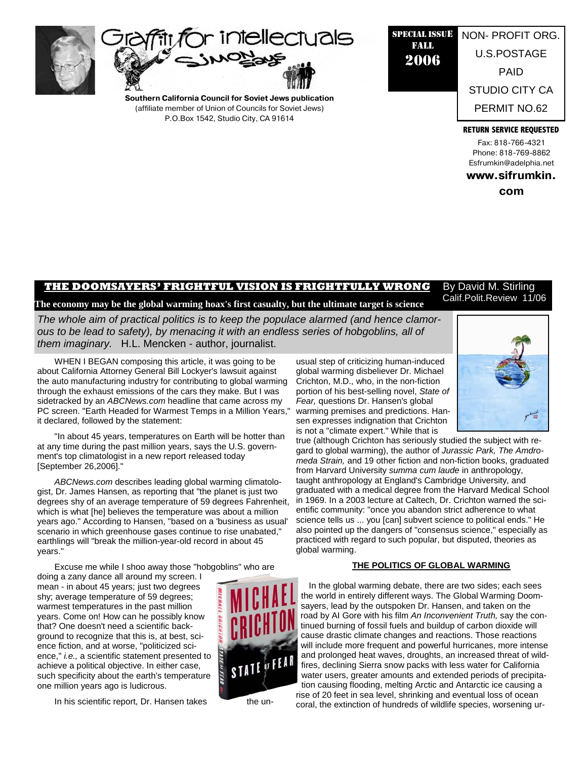



**Southern California Council for Soviet Jews publication**  (affiliate member of Union of Councils for Soviet Jews) P.O.Box 1542, Studio City, CA 91614

## SPECIAL ISSUE FALL 2006 NON- PROFIT ORG. U.S.POSTAGE PAID STUDIO CITY CA PERMIT NO.62

**RETURN SERVICE REQUESTED**

Fax: 818-766-4321 Phone: 818-769-8862 Esfrumkin@adelphia.net

**www.sifrumkin.**

**com** 

#### **THE DOOMSAYERS' FRIGHTFUL VISION IS FRIGHTFULLY WRONG**  By David M. Stirling Calif.Polit.Review 11/06

# **The economy may be the global warming hoax's first casualty, but the ultimate target is science**

*The whole aim of practical politics is to keep the populace alarmed (and hence clamorous to be lead to safety), by menacing it with an endless series of hobgoblins, all of them imaginary.* H.L. Mencken - author, journalist.

WHEN I BEGAN composing this article, it was going to be about California Attorney General Bill Lockyer's lawsuit against the auto manufacturing industry for contributing to global warming through the exhaust emissions of the cars they make. But I was sidetracked by an *ABCNews.com* headline that came across my PC screen. "Earth Headed for Warmest Temps in a Million Years," it declared, followed by the statement:

"In about 45 years, temperatures on Earth will be hotter than at any time during the past million years, says the U.S. government's top climatologist in a new report released today [September 26,2006]."

*ABCNews.com* describes leading global warming climatologist, Dr. James Hansen, as reporting that "the planet is just two degrees shy of an average temperature of 59 degrees Fahrenheit, which is what [he] believes the temperature was about a million years ago." According to Hansen, "based on a 'business as usual' scenario in which greenhouse gases continue to rise unabated," earthlings will "break the million-year-old record in about 45 years."

Excuse me while I shoo away those "hobgoblins" who are

doing a zany dance all around my screen. I mean - in about 45 years; just two degrees shy; average temperature of 59 degrees; warmest temperatures in the past million years. Come on! How can he possibly know that? One doesn't need a scientific background to recognize that this is, at best, science fiction, and at worse, "politicized science," *i.e.,* a scientific statement presented to achieve a political objective. In either case, such specificity about the earth's temperature one million years ago is ludicrous.

In his scientific report, Dr. Hansen takes the un-



usual step of criticizing human-induced global warming disbeliever Dr. Michael Crichton, M.D., who, in the non-fiction portion of his best-selling novel, *State of Fear,* questions Dr. Hansen's global warming premises and predictions. Hansen expresses indignation that Crichton is not a "climate expert." While that is



true (although Crichton has seriously studied the subject with regard to global warming), the author of *Jurassic Park, The Amdromeda Strain,* and 19 other fiction and non-fiction books, graduated from Harvard University *summa cum laude* in anthropology, taught anthropology at England's Cambridge University, and graduated with a medical degree from the Harvard Medical School in 1969. In a 2003 lecture at Caltech, Dr. Crichton warned the scientific community: "once you abandon strict adherence to what science tells us ... you [can] subvert science to political ends." He also pointed up the dangers of "consensus science," especially as practiced with regard to such popular, but disputed, theories as global warming.

#### **THE POLITICS OF GLOBAL WARMING**

In the global warming debate, there are two sides; each sees the world in entirely different ways. The Global Warming Doomsayers, lead by the outspoken Dr. Hansen, and taken on the road by AI Gore with his film *An Inconvenient Truth,* say the continued burning of fossil fuels and buildup of carbon dioxide will cause drastic climate changes and reactions. Those reactions will include more frequent and powerful hurricanes, more intense and prolonged heat waves, droughts, an increased threat of wildfires, declining Sierra snow packs with less water for California water users, greater amounts and extended periods of precipitation causing flooding, melting Arctic and Antarctic ice causing a rise of 20 feet in sea level, shrinking and eventual loss of ocean coral, the extinction of hundreds of wildlife species, worsening ur-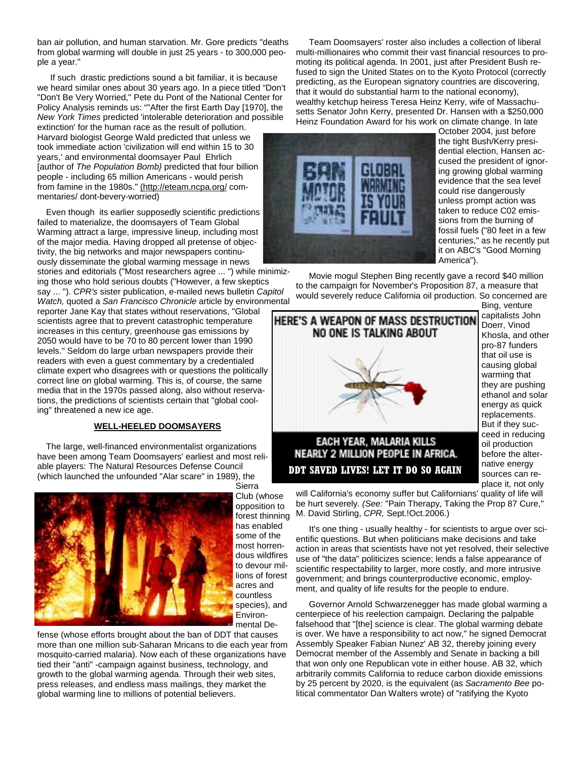ban air pollution, and human starvation. Mr. Gore predicts "deaths from global warming will double in just 25 years - to 300,000 people a year."

If such drastic predictions sound a bit familiar, it is because we heard similar ones about 30 years ago. In a piece titled "Don't "Don't Be Very Worried," Pete du Pont of the National Center for Policy Analysis reminds us: ""After the first Earth Day [1970], the *New York Times* predicted 'intolerable deterioration and possible

extinction' for the human race as the result of pollution. Harvard biologist George Wald predicted that unless we took immediate action 'civilization will end within 15 to 30 years,' and environmental doomsayer Paul Ehrlich [author of *The Population Bomb}* predicted that four billion people - including 65 million Americans - would perish from famine in the 1980s." (http://eteam.ncpa.org/ commentaries/ dont-bevery-worried)

Even though its earlier supposedly scientific predictions failed to materialize, the doomsayers of Team Global Warming attract a large, impressive lineup, including most of the major media. Having dropped all pretense of objectivity, the big networks and major newspapers continuously disseminate the global warming message in news

stories and editorials ("Most researchers agree ... ") while minimizing those who hold serious doubts ("However, a few skeptics say ... "). *CPR's* sister publication, e-mailed news bulletin *Capitol* 

*Watch,* quoted a *San Francisco Chronicle* article by environmental reporter Jane Kay that states without reservations, "Global scientists agree that to prevent catastrophic temperature

increases in this century, greenhouse gas emissions by 2050 would have to be 70 to 80 percent lower than 1990 levels." Seldom do large urban newspapers provide their readers with even a guest commentary by a credentialed climate expert who disagrees with or questions the politically correct line on global warming. This is, of course, the same media that in the 1970s passed along, also without reservations, the predictions of scientists certain that "global cooling" threatened a new ice age.

## **WELL-HEELED DOOMSAYERS**

The large, well-financed environmentalist organizations have been among Team Doomsayers' earliest and most reliable players: The Natural Resources Defense Council (which launched the unfounded "Alar scare" in 1989), the Sierra



Club (whose opposition to forest thinning has enabled some of the most horrendous wildfires to devour millions of forest acres and countless species), and Environmental De-

fense (whose efforts brought about the ban of DDT that causes more than one million sub-Saharan Mricans to die each year from mosquito-carried malaria). Now each of these organizations have tied their "anti" -campaign against business, technology, and growth to the global warming agenda. Through their web sites, press releases, and endless mass mailings, they market the global warming line to millions of potential believers.

Team Doomsayers' roster also includes a collection of liberal multi-millionaires who commit their vast financial resources to promoting its political agenda. In 2001, just after President Bush refused to sign the United States on to the Kyoto Protocol (correctly predicting, as the European signatory countries are discovering, that it would do substantial harm to the national economy), wealthy ketchup heiress Teresa Heinz Kerry, wife of Massachusetts Senator John Kerry, presented Dr. Hansen with a \$250,000 Heinz Foundation Award for his work on climate change. In late



October 2004, just before the tight Bush/Kerry presidential election, Hansen accused the president of ignoring growing global warming evidence that the sea level could rise dangerously unless prompt action was taken to reduce C02 emissions from the burning of fossil fuels ("80 feet in a few centuries," as he recently put it on ABC's "Good Morning America").

Movie mogul Stephen Bing recently gave a record \$40 million to the campaign for November's Proposition 87, a measure that would severely reduce California oil production. So concerned are

HERE'S A WEAPON OF MASS DESTRUCTION NO ONE IS TALKING ABOUT EACH YEAR, MALARIA KILLS

Bing, venture capitalists John Doerr, Vinod Khosla, and other pro-87 funders that oil use is causing global warming that they are pushing ethanol and solar energy as quick replacements. But if they succeed in reducing oil production before the alternative energy sources can replace it, not only

# **NEARLY 2 MILLION PEOPLE IN AFRICA. DDT SAVED LIVES! LET IT DO SO AGAIN**

will California's economy suffer but Californians' quality of life will be hurt severely. *(See:* "Pain Therapy, Taking the Prop 87 Cure," M. David Stirling, *CPR,* Sept.!Oct.2006.)

It's one thing - usually healthy - for scientists to argue over scientific questions. But when politicians make decisions and take action in areas that scientists have not yet resolved, their selective use of "the data" politicizes science; lends a false appearance of scientific respectability to larger, more costly, and more intrusive government; and brings counterproductive economic, employment, and quality of life results for the people to endure.

Governor Arnold Schwarzenegger has made global warming a centerpiece of his reelection campaign. Declaring the palpable falsehood that "[the] science is clear. The global warming debate is over. We have a responsibility to act now," he signed Democrat Assembly Speaker Fabian Nunez' AB 32, thereby joining every Democrat member of the Assembly and Senate in backing a bill that won only one Republican vote in either house. AB 32, which arbitrarily commits California to reduce carbon dioxide emissions by 25 percent by 2020, is the equivalent (as *Sacramento Bee* political commentator Dan Walters wrote) of "ratifying the Kyoto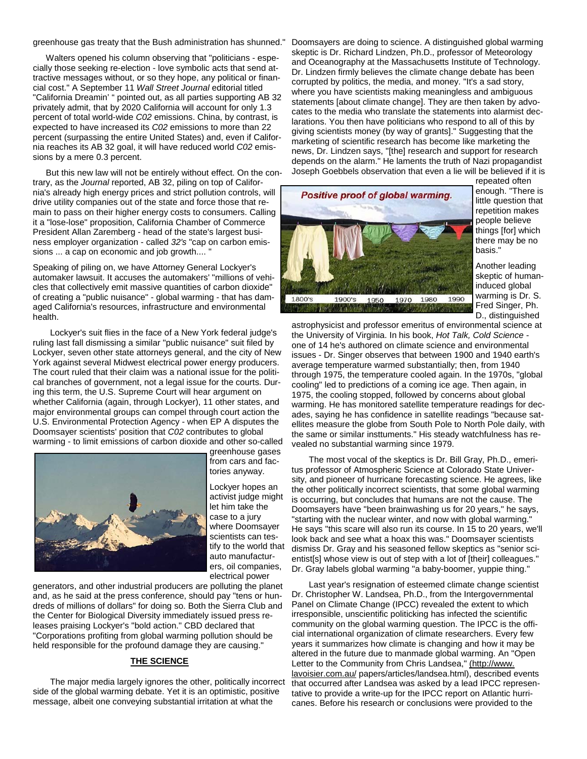greenhouse gas treaty that the Bush administration has shunned."

Walters opened his column observing that "politicians - especially those seeking re-election - love symbolic acts that send attractive messages without, or so they hope, any political or financial cost." A September 11 *Wall Street Journal* editorial titled "California Dreamin' " pointed out, as all parties supporting AB 32 privately admit, that by 2020 California will account for only 1.3 percent of total world-wide *C02* emissions. China, by contrast, is expected to have increased its *C02* emissions to more than 22 percent (surpassing the entire United States) and, even if California reaches its AB 32 goal, it will have reduced world *C02* emissions by a mere 0.3 percent.

But this new law will not be entirely without effect. On the contrary, as the *Journal* reported, AB 32, piling on top of California's already high energy prices and strict pollution controls, will drive utility companies out of the state and force those that remain to pass on their higher energy costs to consumers. Calling it a "lose-lose" proposition, California Chamber of Commerce President Allan Zaremberg - head of the state's largest business employer organization - called *32's* "cap on carbon emissions ... a cap on economic and job growth....

Speaking of piling on, we have Attorney General Lockyer's automaker lawsuit. It accuses the automakers' "millions of vehicles that collectively emit massive quantities of carbon dioxide" of creating a "public nuisance" - global warming - that has damaged California's resources, infrastructure and environmental health.

Lockyer's suit flies in the face of a New York federal judge's ruling last fall dismissing a similar "public nuisance" suit filed by Lockyer, seven other state attorneys general, and the city of New York against several Midwest electrical power energy producers. The court ruled that their claim was a national issue for the political branches of government, not a legal issue for the courts. During this term, the U.S. Supreme Court will hear argument on whether California (again, through Lockyer), 11 other states, and major environmental groups can compel through court action the U.S. Environmental Protection Agency - when EP A disputes the Doomsayer scientists' position that *C02* contributes to global warming - to limit emissions of carbon dioxide and other so-called



greenhouse gases from cars and factories anyway.

Lockyer hopes an activist judge might let him take the case to a jury where Doomsayer scientists can testify to the world that auto manufacturers, oil companies, electrical power

generators, and other industrial producers are polluting the planet and, as he said at the press conference, should pay "tens or hundreds of millions of dollars" for doing so. Both the Sierra Club and the Center for Biological Diversity immediately issued press releases praising Lockyer's "bold action." CBD declared that "Corporations profiting from global warming pollution should be held responsible for the profound damage they are causing."

#### **THE SCIENCE**

The major media largely ignores the other, politically incorrect side of the global warming debate. Yet it is an optimistic, positive message, albeit one conveying substantial irritation at what the

Doomsayers are doing to science. A distinguished global warming skeptic is Dr. Richard Lindzen, Ph.D., professor of Meteorology and Oceanography at the Massachusetts Institute of Technology. Dr. Lindzen firmly believes the climate change debate has been corrupted by politics, the media, and money. "It's a sad story, where you have scientists making meaningless and ambiguous statements [about climate change]. They are then taken by advocates to the media who translate the statements into alarmist declarations. You then have politicians who respond to all of this by giving scientists money (by way of grants]." Suggesting that the marketing of scientific research has become like marketing the news, Dr. Lindzen says, "[the] research and support for research depends on the alarm." He laments the truth of Nazi propagandist Joseph Goebbels observation that even a lie will be believed if it is



repeated often enough. "There is little question that repetition makes people believe things [for] which there may be no basis."

Another leading skeptic of humaninduced global warming is Dr. S. Fred Singer, Ph. D., distinguished

astrophysicist and professor emeritus of environmental science at the University of Virginia. In his book, *Hot Talk, Cold Science*  one of 14 he's authored on climate science and environmental issues - Dr. Singer observes that between 1900 and 1940 earth's average temperature warmed substantially; then, from 1940 through 1975, the temperature cooled again. In the 1970s, "global cooling" led to predictions of a coming ice age. Then again, in 1975, the cooling stopped, followed by concerns about global warming. He has monitored satellite temperature readings for decades, saying he has confidence in satellite readings "because satellites measure the globe from South Pole to North Pole daily, with the same or similar insttuments." His steady watchfulness has revealed no substantial warming since 1979.

The most vocal of the skeptics is Dr. Bill Gray, Ph.D., emeritus professor of Atmospheric Science at Colorado State University, and pioneer of hurricane forecasting science. He agrees, like the other politically incorrect scientists, that some global warming is occurring, but concludes that humans are not the cause. The Doomsayers have "been brainwashing us for 20 years," he says, "starting with the nuclear winter, and now with global warming." He says "this scare will also run its course. In 15 to 20 years, we'll look back and see what a hoax this was." Doomsayer scientists dismiss Dr. Gray and his seasoned fellow skeptics as "senior scientist[s] whose view is out of step with a lot of [their] colleagues." Dr. Gray labels global warming "a baby-boomer, yuppie thing."

Last year's resignation of esteemed climate change scientist Dr. Christopher W. Landsea, Ph.D., from the Intergovernmental Panel on Climate Change (IPCC) revealed the extent to which irresponsible, unscientific politicking has infected the scientific community on the global warming question. The IPCC is the official international organization of climate researchers. Every few years it summarizes how climate is changing and how it may be altered in the future due to manmade global warming. An "Open Letter to the Community from Chris Landsea," (http://www. lavoisier.com.au/ papers/articles/landsea.html), described events that occurred after Landsea was asked by a lead IPCC representative to provide a write-up for the IPCC report on Atlantic hurricanes. Before his research or conclusions were provided to the